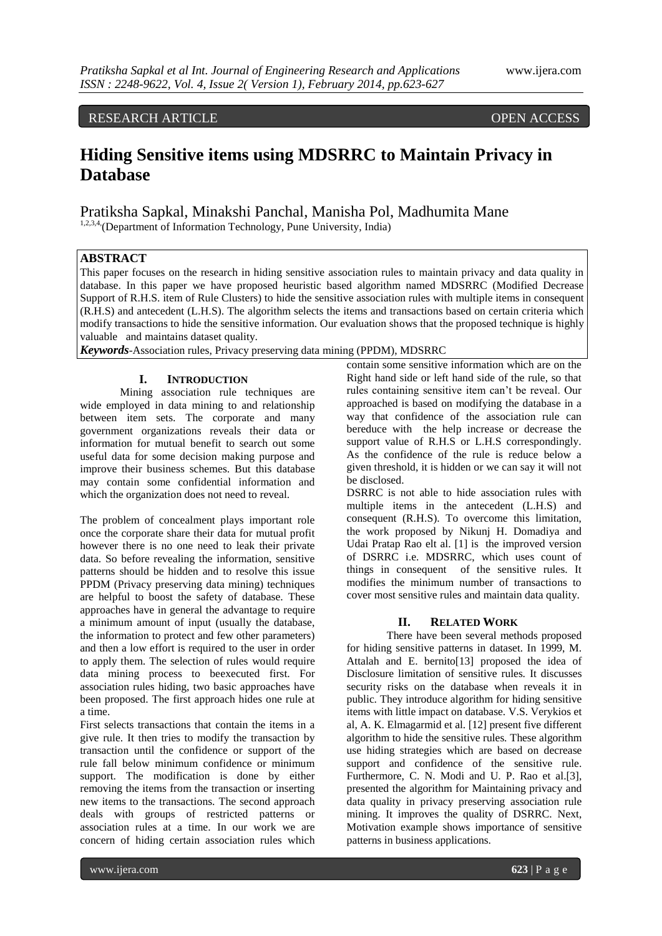# RESEARCH ARTICLE OPEN ACCESS

# **Hiding Sensitive items using MDSRRC to Maintain Privacy in Database**

# Pratiksha Sapkal, Minakshi Panchal, Manisha Pol, Madhumita Mane

1,2,3,4,(Department of Information Technology, Pune University, India)

## **ABSTRACT**

This paper focuses on the research in hiding sensitive association rules to maintain privacy and data quality in database. In this paper we have proposed heuristic based algorithm named MDSRRC (Modified Decrease Support of R.H.S. item of Rule Clusters) to hide the sensitive association rules with multiple items in consequent (R.H.S) and antecedent (L.H.S). The algorithm selects the items and transactions based on certain criteria which modify transactions to hide the sensitive information. Our evaluation shows that the proposed technique is highly valuable and maintains dataset quality.

*Keywords*-Association rules, Privacy preserving data mining (PPDM), MDSRRC

## **I. INTRODUCTION**

Mining association rule techniques are wide employed in data mining to and relationship between item sets. The corporate and many government organizations reveals their data or information for mutual benefit to search out some useful data for some decision making purpose and improve their business schemes. But this database may contain some confidential information and which the organization does not need to reveal.

The problem of concealment plays important role once the corporate share their data for mutual profit however there is no one need to leak their private data. So before revealing the information, sensitive patterns should be hidden and to resolve this issue PPDM (Privacy preserving data mining) techniques are helpful to boost the safety of database. These approaches have in general the advantage to require a minimum amount of input (usually the database, the information to protect and few other parameters) and then a low effort is required to the user in order to apply them. The selection of rules would require data mining process to beexecuted first. For association rules hiding, two basic approaches have been proposed. The first approach hides one rule at a time.

First selects transactions that contain the items in a give rule. It then tries to modify the transaction by transaction until the confidence or support of the rule fall below minimum confidence or minimum support. The modification is done by either removing the items from the transaction or inserting new items to the transactions. The second approach deals with groups of restricted patterns or association rules at a time. In our work we are concern of hiding certain association rules which

contain some sensitive information which are on the Right hand side or left hand side of the rule, so that rules containing sensitive item can"t be reveal. Our approached is based on modifying the database in a way that confidence of the association rule can bereduce with the help increase or decrease the support value of R.H.S or L.H.S correspondingly. As the confidence of the rule is reduce below a given threshold, it is hidden or we can say it will not be disclosed.

DSRRC is not able to hide association rules with multiple items in the antecedent (L.H.S) and consequent (R.H.S). To overcome this limitation, the work proposed by Nikunj H. Domadiya and Udai Pratap Rao elt al. [1] is the improved version of DSRRC i.e. MDSRRC, which uses count of things in consequent of the sensitive rules. It modifies the minimum number of transactions to cover most sensitive rules and maintain data quality.

## **II. RELATED WORK**

There have been several methods proposed for hiding sensitive patterns in dataset. In 1999, M. Attalah and E. bernito[13] proposed the idea of Disclosure limitation of sensitive rules. It discusses security risks on the database when reveals it in public. They introduce algorithm for hiding sensitive items with little impact on database. V.S. Verykios et al, A. K. Elmagarmid et al. [12] present five different algorithm to hide the sensitive rules. These algorithm use hiding strategies which are based on decrease support and confidence of the sensitive rule. Furthermore, C. N. Modi and U. P. Rao et al.[3], presented the algorithm for Maintaining privacy and data quality in privacy preserving association rule mining. It improves the quality of DSRRC. Next, Motivation example shows importance of sensitive patterns in business applications.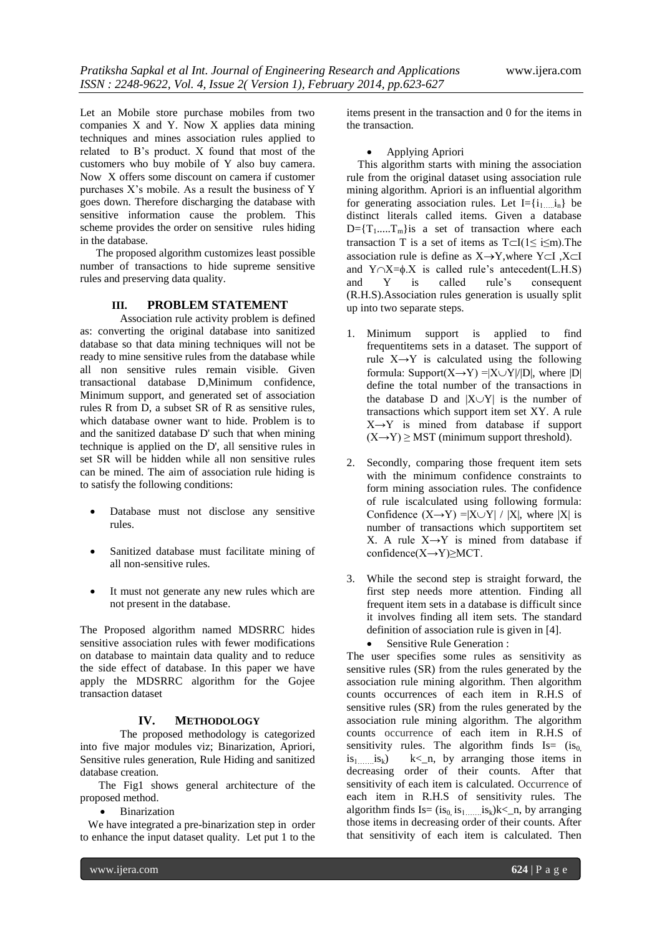Let an Mobile store purchase mobiles from two companies X and Y. Now X applies data mining techniques and mines association rules applied to related to B"s product. X found that most of the customers who buy mobile of Y also buy camera. Now X offers some discount on camera if customer purchases X"s mobile. As a result the business of Y goes down. Therefore discharging the database with sensitive information cause the problem. This scheme provides the order on sensitive rules hiding in the database.

The proposed algorithm customizes least possible number of transactions to hide supreme sensitive rules and preserving data quality.

#### **III. PROBLEM STATEMENT**

Association rule activity problem is defined as: converting the original database into sanitized database so that data mining techniques will not be ready to mine sensitive rules from the database while all non sensitive rules remain visible. Given transactional database D,Minimum confidence, Minimum support, and generated set of association rules R from D, a subset SR of R as sensitive rules, which database owner want to hide. Problem is to and the sanitized database D' such that when mining technique is applied on the D', all sensitive rules in set SR will be hidden while all non sensitive rules can be mined. The aim of association rule hiding is to satisfy the following conditions:

- Database must not disclose any sensitive rules.
- Sanitized database must facilitate mining of all non-sensitive rules.
- It must not generate any new rules which are not present in the database.

The Proposed algorithm named MDSRRC hides sensitive association rules with fewer modifications on database to maintain data quality and to reduce the side effect of database. In this paper we have apply the MDSRRC algorithm for the Gojee transaction dataset

#### **IV. METHODOLOGY**

The proposed methodology is categorized into five major modules viz; Binarization, Apriori, Sensitive rules generation, Rule Hiding and sanitized database creation.

The Fig1 shows general architecture of the proposed method.

• Binarization

 We have integrated a pre-binarization step in order to enhance the input dataset quality. Let put 1 to the

items present in the transaction and 0 for the items in the transaction.

Applying Apriori

 This algorithm starts with mining the association rule from the original dataset using association rule mining algorithm. Apriori is an influential algorithm for generating association rules. Let  $I = \{i_1 \ i_n\}$  be distinct literals called items. Given a database  $D = \{T_1, ..., T_m\}$ is a set of transaction where each transaction T is a set of items as  $T\subset I(1\leq i\leq m)$ . The association rule is define as  $X \rightarrow Y$ , where  $Y \subset I$ ,  $X \subset I$ and  $Y \cap X = \emptyset$ . X is called rule's antecedent(L.H.S) and Y is called rule"s consequent (R.H.S).Association rules generation is usually split up into two separate steps.

- 1. Minimum support is applied to find frequentitems sets in a dataset. The support of rule  $X \rightarrow Y$  is calculated using the following formula: Support( $X \rightarrow Y$ ) = $|X \cup Y|/|D|$ , where  $|D|$ define the total number of the transactions in the database D and  $|X \cup Y|$  is the number of transactions which support item set XY. A rule  $X \rightarrow Y$  is mined from database if support  $(X \rightarrow Y) \geq MST$  (minimum support threshold).
- 2. Secondly, comparing those frequent item sets with the minimum confidence constraints to form mining association rules. The confidence of rule iscalculated using following formula: Confidence  $(X \rightarrow Y) = |X \cup Y| / |X|$ , where  $|X|$  is number of transactions which supportitem set X. A rule  $X \rightarrow Y$  is mined from database if confidence(X→Y)≥MCT.
- 3. While the second step is straight forward, the first step needs more attention. Finding all frequent item sets in a database is difficult since it involves finding all item sets. The standard definition of association rule is given in [4].
	- Sensitive Rule Generation :

The user specifies some rules as sensitivity as sensitive rules (SR) from the rules generated by the association rule mining algorithm. Then algorithm counts occurrences of each item in R.H.S of sensitive rules (SR) from the rules generated by the association rule mining algorithm. The algorithm counts occurrence of each item in R.H.S of sensitivity rules. The algorithm finds Is=  $(is_0, is_1, ..., is_k)$  k<\_n, by arranging those items in  $k\leq n$ , by arranging those items in decreasing order of their counts. After that sensitivity of each item is calculated. Occurrence of each item in R.H.S of sensitivity rules. The algorithm finds  $Is = (is_0, is_1, \ldots, is_k)k < n$ , by arranging those items in decreasing order of their counts. After that sensitivity of each item is calculated. Then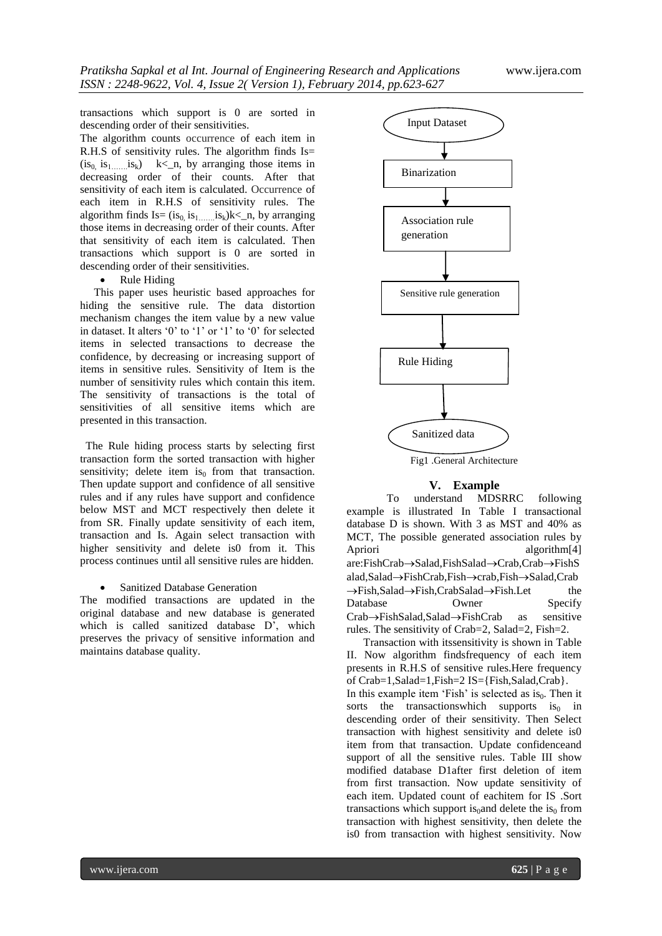transactions which support is 0 are sorted in descending order of their sensitivities.

The algorithm counts occurrence of each item in R.H.S of sensitivity rules. The algorithm finds Is=  $(is_0, is_1, \ldots, is_k)$  k<\_n, by arranging those items in decreasing order of their counts. After that sensitivity of each item is calculated. Occurrence of each item in R.H.S of sensitivity rules. The algorithm finds  $Is = (is_0, is_1, is_k)$ k< n, by arranging those items in decreasing order of their counts. After that sensitivity of each item is calculated. Then transactions which support is 0 are sorted in descending order of their sensitivities.

• Rule Hiding

 This paper uses heuristic based approaches for hiding the sensitive rule. The data distortion mechanism changes the item value by a new value in dataset. It alters '0' to '1' or '1' to '0' for selected items in selected transactions to decrease the confidence, by decreasing or increasing support of items in sensitive rules. Sensitivity of Item is the number of sensitivity rules which contain this item. The sensitivity of transactions is the total of sensitivities of all sensitive items which are presented in this transaction.

 The Rule hiding process starts by selecting first transaction form the sorted transaction with higher sensitivity; delete item is<sub>0</sub> from that transaction. Then update support and confidence of all sensitive rules and if any rules have support and confidence below MST and MCT respectively then delete it from SR. Finally update sensitivity of each item, transaction and Is. Again select transaction with higher sensitivity and delete is0 from it. This process continues until all sensitive rules are hidden.

Sanitized Database Generation

The modified transactions are updated in the original database and new database is generated which is called sanitized database D', which preserves the privacy of sensitive information and maintains database quality.



#### **V. Example**

To understand MDSRRC following example is illustrated In Table I transactional database D is shown. With 3 as MST and 40% as MCT, The possible generated association rules by Apriori algorithm<sup>[4]</sup> are:FishCrab->Salad,FishSalad->Crab,Crab->FishS alad,Salad->FishCrab,Fish->crab,Fish->Salad,Crab  $\rightarrow$ Fish,Salad $\rightarrow$ Fish,CrabSalad $\rightarrow$ Fish.Let the Database Owner Specify  $Crab \rightarrow FishSalad,Salad \rightarrow FishCrab$  as sensitive rules. The sensitivity of Crab=2, Salad=2, Fish=2.

 Transaction with itssensitivity is shown in Table II. Now algorithm findsfrequency of each item presents in R.H.S of sensitive rules.Here frequency of Crab=1,Salad=1,Fish=2 IS={Fish,Salad,Crab}. In this example item 'Fish' is selected as is $<sub>0</sub>$ . Then it</sub> sorts the transactions which supports is<sub>0</sub> in descending order of their sensitivity. Then Select transaction with highest sensitivity and delete is0 item from that transaction. Update confidenceand support of all the sensitive rules. Table III show modified database D1after first deletion of item from first transaction. Now update sensitivity of each item. Updated count of eachitem for IS .Sort transactions which support is<sub>0</sub>and delete the is<sub>0</sub> from transaction with highest sensitivity, then delete the is0 from transaction with highest sensitivity. Now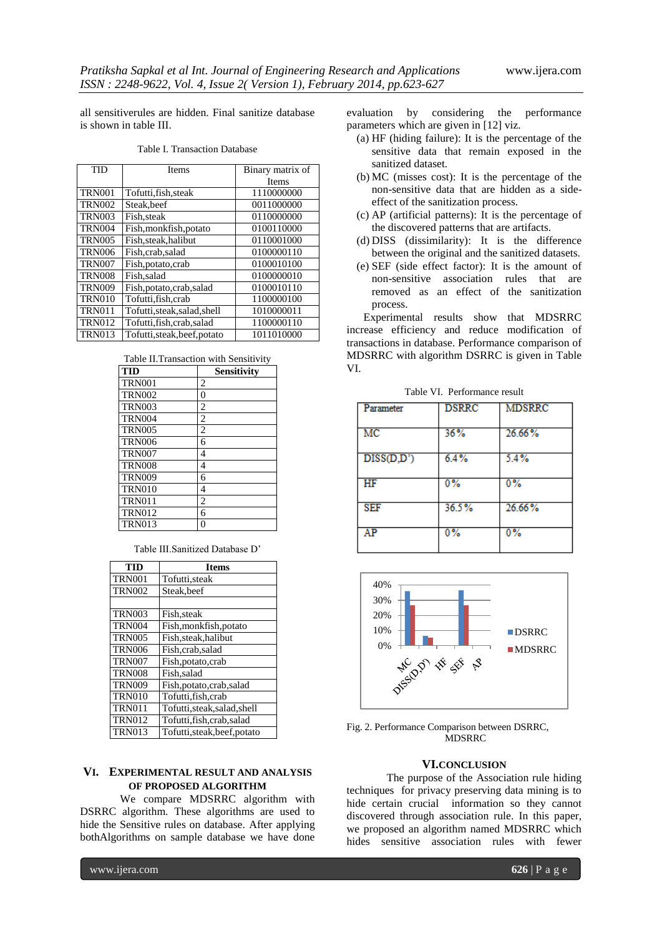all sensitiverules are hidden. Final sanitize database is shown in table III.

#### Table I. Transaction Database

| <b>TID</b>    | <b>Items</b>                 | Binary matrix of |
|---------------|------------------------------|------------------|
|               |                              | <b>Items</b>     |
| <b>TRN001</b> | Tofutti, fish, steak         | 1110000000       |
| <b>TRN002</b> | Steak, beef                  | 0011000000       |
| <b>TRN003</b> | Fish.steak                   | 0110000000       |
| <b>TRN004</b> | Fish, monkfish, potato       | 0100110000       |
| <b>TRN005</b> | Fish, steak, halibut         | 0110001000       |
| <b>TRN006</b> | Fish, crab, salad            | 0100000110       |
| <b>TRN007</b> | Fish, potato, crab           | 0100010100       |
| <b>TRN008</b> | Fish, salad                  | 0100000010       |
| <b>TRN009</b> | Fish, potato, crab, salad    | 0100010110       |
| <b>TRN010</b> | Tofutti, fish, crab          | 1100000100       |
| <b>TRN011</b> | Tofutti, steak, salad, shell | 1010000011       |
| <b>TRN012</b> | Tofutti, fish, crab, salad   | 1100000110       |
| <b>TRN013</b> | Tofutti, steak, beef, potato | 1011010000       |

|  |  | Table II. Transaction with Sensitivity |
|--|--|----------------------------------------|
|  |  |                                        |

| <b>TID</b>    | <b>Sensitivity</b> |
|---------------|--------------------|
| <b>TRN001</b> | 2                  |
| <b>TRN002</b> | $\Omega$           |
| <b>TRN003</b> | $\overline{c}$     |
| <b>TRN004</b> | 2                  |
| <b>TRN005</b> | $\overline{c}$     |
| <b>TRN006</b> | 6                  |
| <b>TRN007</b> | 4                  |
| <b>TRN008</b> | 4                  |
| <b>TRN009</b> | 6                  |
| <b>TRN010</b> | 4                  |
| <b>TRN011</b> | $\overline{c}$     |
| <b>TRN012</b> | 6                  |
| <b>TRN013</b> |                    |

Table III.Sanitized Database D"

| TID           | <b>Items</b>                 |
|---------------|------------------------------|
| <b>TRN001</b> | Tofutti, steak               |
| <b>TRN002</b> | Steak, beef                  |
|               |                              |
| <b>TRN003</b> | Fish, steak                  |
| <b>TRN004</b> | Fish, monkfish, potato       |
| <b>TRN005</b> | Fish, steak, halibut         |
| <b>TRN006</b> | Fish, crab, salad            |
| <b>TRN007</b> | Fish, potato, crab           |
| <b>TRN008</b> | Fish, salad                  |
| <b>TRN009</b> | Fish, potato, crab, salad    |
| <b>TRN010</b> | Tofutti, fish, crab          |
| <b>TRN011</b> | Tofutti, steak, salad, shell |
| <b>TRN012</b> | Tofutti, fish, crab, salad   |
| <b>TRN013</b> | Tofutti, steak, beef, potato |

## **VI. EXPERIMENTAL RESULT AND ANALYSIS OF PROPOSED ALGORITHM**

We compare MDSRRC algorithm with DSRRC algorithm. These algorithms are used to hide the Sensitive rules on database. After applying bothAlgorithms on sample database we have done

evaluation by considering the performance parameters which are given in [12] viz.

- (a) HF (hiding failure): It is the percentage of the sensitive data that remain exposed in the sanitized dataset.
- (b) MC (misses cost): It is the percentage of the non-sensitive data that are hidden as a sideeffect of the sanitization process.
- (c) AP (artificial patterns): It is the percentage of the discovered patterns that are artifacts.
- (d) DISS (dissimilarity): It is the difference between the original and the sanitized datasets.
- (e) SEF (side effect factor): It is the amount of non-sensitive association rules that are removed as an effect of the sanitization process.

 Experimental results show that MDSRRC increase efficiency and reduce modification of transactions in database. Performance comparison of MDSRRC with algorithm DSRRC is given in Table VI.

| Parameter  | <b>DSRRC</b> | <b>MDSRRC</b> |
|------------|--------------|---------------|
| MC         | 36%          | 26.66%        |
| DISS(D,D') | 6.4%         | 5.4%          |
| HF         | $0\%$        | $0\%$         |
| <b>SEF</b> | 36.5%        | 26.66%        |
| AP         | 0%           | 0%            |

Table VI. Performance result



Fig. 2. Performance Comparison between DSRRC, MDSRRC

#### **VI.CONCLUSION**

The purpose of the Association rule hiding techniques for privacy preserving data mining is to hide certain crucial information so they cannot discovered through association rule. In this paper, we proposed an algorithm named MDSRRC which hides sensitive association rules with fewer